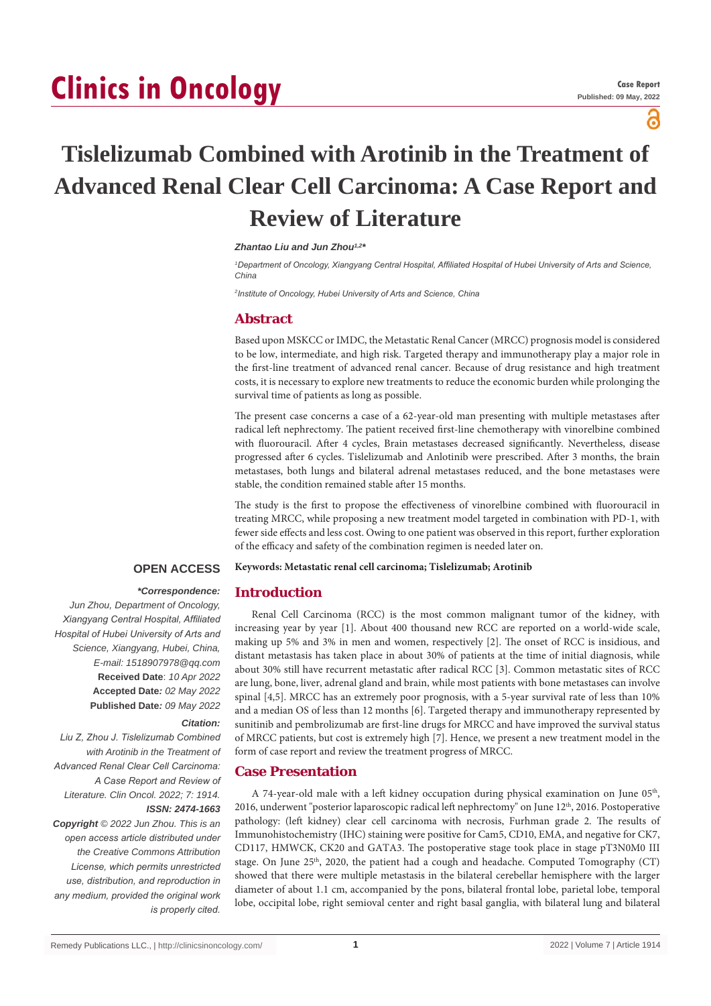# **Clinics in Oncology**

പ്പ

## **Tislelizumab Combined with Arotinib in the Treatment of Advanced Renal Clear Cell Carcinoma: A Case Report and Review of Literature**

### *Zhantao Liu and Jun Zhou1,2\**

<sup>1</sup>Department of Oncology, Xiangyang Central Hospital, Affiliated Hospital of Hubei University of Arts and Science, *China*

*2 Institute of Oncology, Hubei University of Arts and Science, China*

#### **Abstract**

Based upon MSKCC or IMDC, the Metastatic Renal Cancer (MRCC) prognosis model is considered to be low, intermediate, and high risk. Targeted therapy and immunotherapy play a major role in the first-line treatment of advanced renal cancer. Because of drug resistance and high treatment costs, it is necessary to explore new treatments to reduce the economic burden while prolonging the survival time of patients as long as possible.

The present case concerns a case of a 62-year-old man presenting with multiple metastases after radical left nephrectomy. The patient received first-line chemotherapy with vinorelbine combined with fluorouracil. After 4 cycles, Brain metastases decreased significantly. Nevertheless, disease progressed after 6 cycles. Tislelizumab and Anlotinib were prescribed. After 3 months, the brain metastases, both lungs and bilateral adrenal metastases reduced, and the bone metastases were stable, the condition remained stable after 15 months.

The study is the first to propose the effectiveness of vinorelbine combined with fluorouracil in treating MRCC, while proposing a new treatment model targeted in combination with PD-1, with fewer side effects and less cost. Owing to one patient was observed in this report, further exploration of the efficacy and safety of the combination regimen is needed later on.

#### **OPEN ACCESS Keywords: Metastatic renal cell carcinoma; Tislelizumab; Arotinib**

#### *\*Correspondence:* **Introduction**

*Jun Zhou, Department of Oncology, Xiangyang Central Hospital, Affiliated Hospital of Hubei University of Arts and Science, Xiangyang, Hubei, China, E-mail: 1518907978@qq.com* **Received Date**: *10 Apr 2022* **Accepted Date***: 02 May 2022* **Published Date***: 09 May 2022*

#### *Citation:*

*Liu Z, Zhou J. Tislelizumab Combined with Arotinib in the Treatment of Advanced Renal Clear Cell Carcinoma: A Case Report and Review of Literature. Clin Oncol. 2022; 7: 1914. ISSN: 2474-1663 Copyright © 2022 Jun Zhou. This is an open access article distributed under the Creative Commons Attribution License, which permits unrestricted use, distribution, and reproduction in any medium, provided the original work is properly cited.*

Renal Cell Carcinoma (RCC) is the most common malignant tumor of the kidney, with increasing year by year [1]. About 400 thousand new RCC are reported on a world-wide scale, making up 5% and 3% in men and women, respectively [2]. The onset of RCC is insidious, and distant metastasis has taken place in about 30% of patients at the time of initial diagnosis, while about 30% still have recurrent metastatic after radical RCC [3]. Common metastatic sites of RCC are lung, bone, liver, adrenal gland and brain, while most patients with bone metastases can involve spinal [4,5]. MRCC has an extremely poor prognosis, with a 5-year survival rate of less than 10% and a median OS of less than 12 months [6]. Targeted therapy and immunotherapy represented by sunitinib and pembrolizumab are first-line drugs for MRCC and have improved the survival status of MRCC patients, but cost is extremely high [7]. Hence, we present a new treatment model in the form of case report and review the treatment progress of MRCC.

#### **Case Presentation**

A 74-year-old male with a left kidney occupation during physical examination on June  $05<sup>th</sup>$ , 2016, underwent "posterior laparoscopic radical left nephrectomy" on June 12<sup>th</sup>, 2016. Postoperative pathology: (left kidney) clear cell carcinoma with necrosis, Furhman grade 2. The results of Immunohistochemistry (IHC) staining were positive for Cam5, CD10, EMA, and negative for CK7, CD117, HMWCK, CK20 and GATA3. The postoperative stage took place in stage pT3N0M0 III stage. On June  $25<sup>th</sup>$ , 2020, the patient had a cough and headache. Computed Tomography (CT) showed that there were multiple metastasis in the bilateral cerebellar hemisphere with the larger diameter of about 1.1 cm, accompanied by the pons, bilateral frontal lobe, parietal lobe, temporal lobe, occipital lobe, right semioval center and right basal ganglia, with bilateral lung and bilateral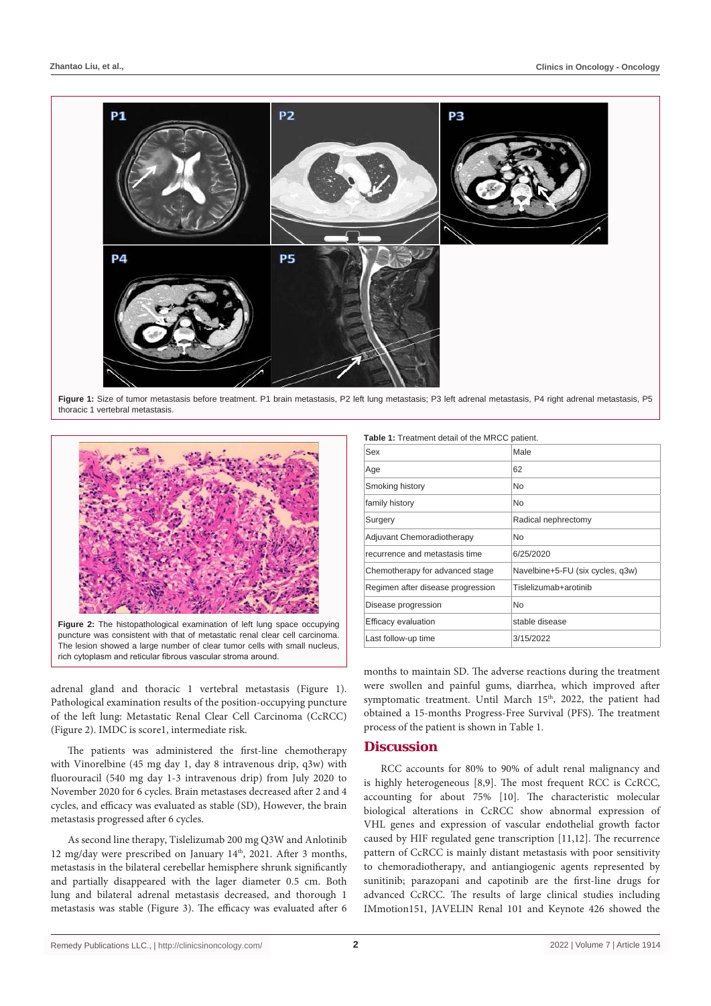

Figure 1: Size of tumor metastasis before treatment. P1 brain metastasis, P2 left lung metastasis; P3 left adrenal metastasis, P4 right adrenal metastasis, P5 thoracic 1 vertebral metastasis.



puncture was consistent with that of metastatic renal clear cell carcinoma. The lesion showed a large number of clear tumor cells with small nucleus rich cytoplasm and reticular fibrous vascular stroma around.

adrenal gland and thoracic 1 vertebral metastasis (Figure 1). Pathological examination results of the position-occupying puncture of the left lung: Metastatic Renal Clear Cell Carcinoma (CcRCC) (Figure 2). IMDC is score1, intermediate risk.

The patients was administered the first-line chemotherapy with Vinorelbine (45 mg day 1, day 8 intravenous drip, q3w) with fluorouracil (540 mg day 1-3 intravenous drip) from July 2020 to November 2020 for 6 cycles. Brain metastases decreased after 2 and 4 cycles, and efficacy was evaluated as stable (SD), However, the brain metastasis progressed after 6 cycles.

As second line therapy, Tislelizumab 200 mg Q3W and Anlotinib 12 mg/day were prescribed on January 14th, 2021. After 3 months, metastasis in the bilateral cerebellar hemisphere shrunk significantly and partially disappeared with the lager diameter 0.5 cm. Both lung and bilateral adrenal metastasis decreased, and thorough 1 metastasis was stable (Figure 3). The efficacy was evaluated after 6

|  | Table 1: Treatment detail of the MRCC patient. |  |  |  |
|--|------------------------------------------------|--|--|--|
|--|------------------------------------------------|--|--|--|

| Sex                               | Male                             |
|-----------------------------------|----------------------------------|
| Age                               | 62                               |
| Smoking history                   | <b>No</b>                        |
| family history                    | N <sub>o</sub>                   |
| Surgery                           | Radical nephrectomy              |
| Adjuvant Chemoradiotherapy        | <b>No</b>                        |
| recurrence and metastasis time    | 6/25/2020                        |
| Chemotherapy for advanced stage   | Navelbine+5-FU (six cycles, q3w) |
| Regimen after disease progression | Tislelizumab+arotinib            |
| Disease progression               | <b>No</b>                        |
| <b>Efficacy evaluation</b>        | stable disease                   |
| Last follow-up time               | 3/15/2022                        |

months to maintain SD. The adverse reactions during the treatment were swollen and painful gums, diarrhea, which improved after symptomatic treatment. Until March 15<sup>th</sup>, 2022, the patient had obtained a 15-months Progress-Free Survival (PFS). The treatment process of the patient is shown in Table 1.

#### **Discussion**

RCC accounts for 80% to 90% of adult renal malignancy and is highly heterogeneous [8,9]. The most frequent RCC is CcRCC, accounting for about 75% [10]. The characteristic molecular biological alterations in CcRCC show abnormal expression of VHL genes and expression of vascular endothelial growth factor caused by HIF regulated gene transcription [11,12]. The recurrence pattern of CcRCC is mainly distant metastasis with poor sensitivity to chemoradiotherapy, and antiangiogenic agents represented by sunitinib; parazopani and capotinib are the first-line drugs for advanced CcRCC. The results of large clinical studies including IMmotion151, JAVELIN Renal 101 and Keynote 426 showed the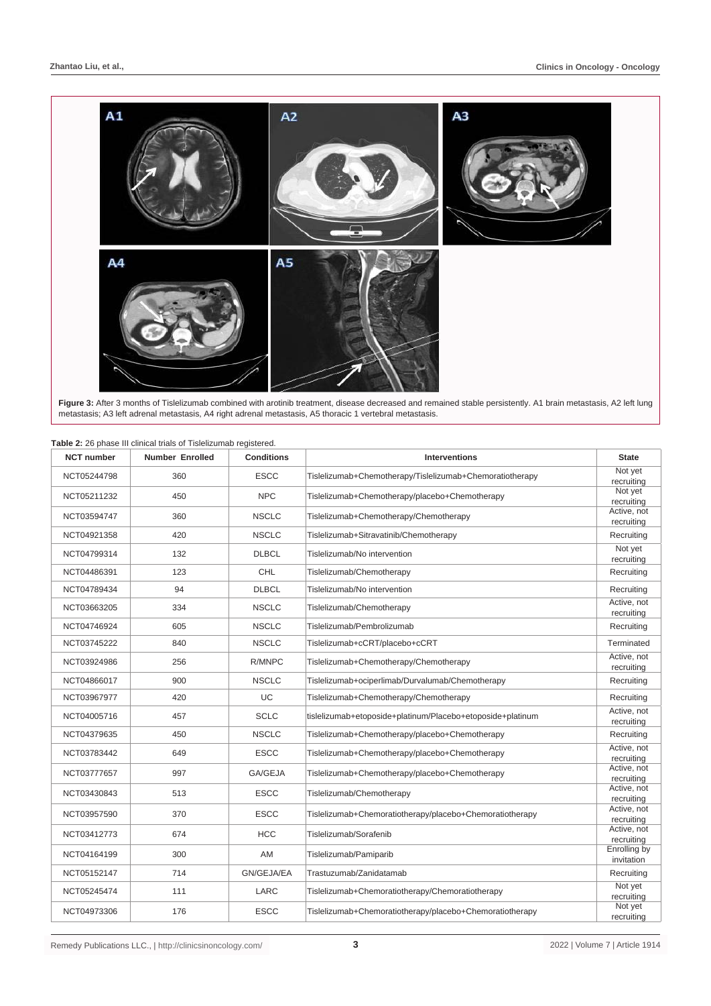

**Figure 3:** After 3 months of Tislelizumab combined with arotinib treatment, disease decreased and remained stable persistently. A1 brain metastasis, A2 left lung metastasis; A3 left adrenal metastasis, A4 right adrenal metastasis, A5 thoracic 1 vertebral metastasis.

| <b>NCT number</b> | <b>Number Enrolled</b> |              | <b>Interventions</b>                                       | <b>State</b>               |
|-------------------|------------------------|--------------|------------------------------------------------------------|----------------------------|
| NCT05244798       | 360                    | <b>ESCC</b>  | Tislelizumab+Chemotherapy/Tislelizumab+Chemoratiotherapy   | Not yet<br>recruiting      |
| NCT05211232       | 450                    | <b>NPC</b>   | Tislelizumab+Chemotherapy/placebo+Chemotherapy             | Not yet<br>recruiting      |
| NCT03594747       | 360                    | <b>NSCLC</b> | Tislelizumab+Chemotherapy/Chemotherapy                     | Active, not<br>recruiting  |
| NCT04921358       | 420                    | <b>NSCLC</b> | Tislelizumab+Sitravatinib/Chemotherapy                     | Recruiting                 |
| NCT04799314       | 132                    | <b>DLBCL</b> | Tislelizumab/No intervention                               | Not yet<br>recruiting      |
| NCT04486391       | 123                    | <b>CHL</b>   | Tislelizumab/Chemotherapy                                  | Recruiting                 |
| NCT04789434       | 94                     | <b>DLBCL</b> | Tislelizumab/No intervention                               | Recruiting                 |
| NCT03663205       | 334                    | <b>NSCLC</b> | Tislelizumab/Chemotherapy                                  | Active, not<br>recruiting  |
| NCT04746924       | 605                    | <b>NSCLC</b> | Tislelizumab/Pembrolizumab                                 | Recruiting                 |
| NCT03745222       | 840                    | <b>NSCLC</b> | Tislelizumab+cCRT/placebo+cCRT                             | Terminated                 |
| NCT03924986       | 256                    | R/MNPC       | Tislelizumab+Chemotherapy/Chemotherapy                     | Active, not<br>recruiting  |
| NCT04866017       | 900                    | <b>NSCLC</b> | Tislelizumab+ociperlimab/Durvalumab/Chemotherapy           | Recruiting                 |
| NCT03967977       | 420                    | UC           | Tislelizumab+Chemotherapy/Chemotherapy                     | Recruiting                 |
| NCT04005716       | 457                    | <b>SCLC</b>  | tislelizumab+etoposide+platinum/Placebo+etoposide+platinum | Active, not<br>recruiting  |
| NCT04379635       | 450                    | <b>NSCLC</b> | Tislelizumab+Chemotherapy/placebo+Chemotherapy             | Recruiting                 |
| NCT03783442       | 649                    | <b>ESCC</b>  | Tislelizumab+Chemotherapy/placebo+Chemotherapy             | Active, not<br>recruiting  |
| NCT03777657       | 997                    | GA/GEJA      | Tislelizumab+Chemotherapy/placebo+Chemotherapy             | Active, not<br>recruiting  |
| NCT03430843       | 513                    | <b>ESCC</b>  | Tislelizumab/Chemotherapy                                  | Active, not<br>recruiting  |
| NCT03957590       | 370                    | <b>ESCC</b>  | Tislelizumab+Chemoratiotherapy/placebo+Chemoratiotherapy   | Active, not<br>recruiting  |
| NCT03412773       | 674                    | <b>HCC</b>   | Tislelizumab/Sorafenib                                     | Active, not<br>recruiting  |
| NCT04164199       | 300                    | AM           | Tislelizumab/Pamiparib                                     | Enrolling by<br>invitation |
| NCT05152147       | 714                    | GN/GEJA/EA   | Trastuzumab/Zanidatamab                                    | Recruiting                 |
| NCT05245474       | 111                    | LARC         | Tislelizumab+Chemoratiotherapy/Chemoratiotherapy           | Not yet<br>recruiting      |
| NCT04973306       | 176                    | <b>ESCC</b>  | Tislelizumab+Chemoratiotherapy/placebo+Chemoratiotherapy   | Not yet<br>recruiting      |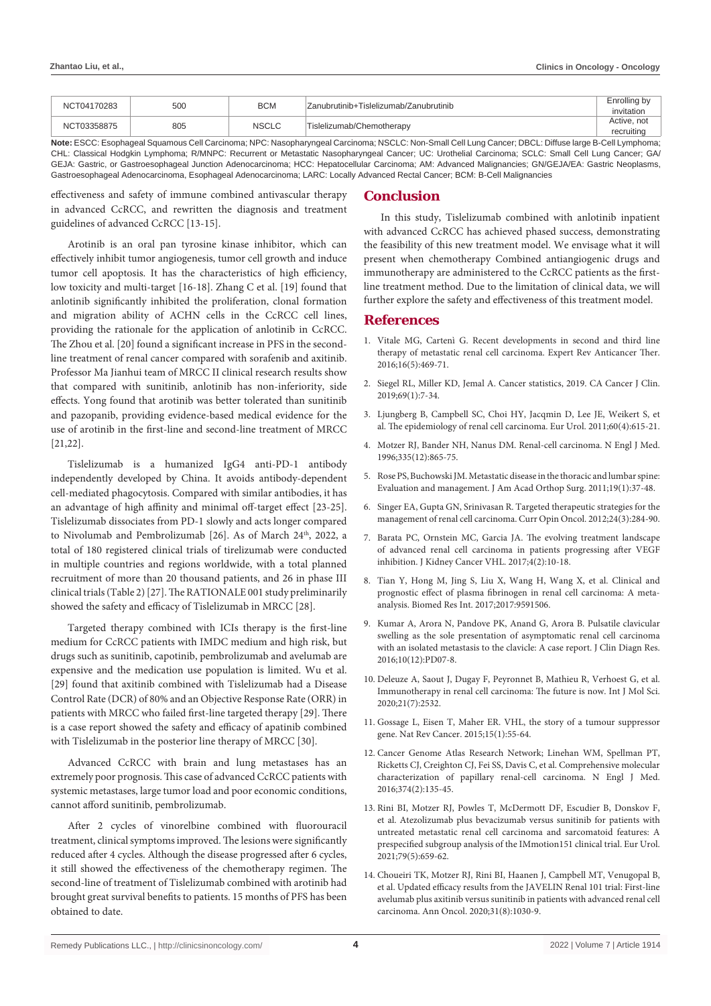| NCT04170283 | 500 | <b>BCM</b> | Zanubrutinib+Tislelizumab/Zanubrutinib | Enrolling by<br>invitation |
|-------------|-----|------------|----------------------------------------|----------------------------|
| NCT03358875 | 805 | NSCLC      | Tislelizumab/Chemotherapy              | Active, not<br>recruitina  |

**Note:** ESCC: Esophageal Squamous Cell Carcinoma; NPC: Nasopharyngeal Carcinoma; NSCLC: Non-Small Cell Lung Cancer; DBCL: Diffuse large B-Cell Lymphoma; CHL: Classical Hodgkin Lymphoma; R/MNPC: Recurrent or Metastatic Nasopharyngeal Cancer; UC: Urothelial Carcinoma; SCLC: Small Cell Lung Cancer; GA/ GEJA: Gastric, or Gastroesophageal Junction Adenocarcinoma; HCC: Hepatocellular Carcinoma; AM: Advanced Malignancies; GN/GEJA/EA: Gastric Neoplasms, Gastroesophageal Adenocarcinoma, Esophageal Adenocarcinoma; LARC: Locally Advanced Rectal Cancer; BCM: B-Cell Malignancies

effectiveness and safety of immune combined antivascular therapy in advanced CcRCC, and rewritten the diagnosis and treatment guidelines of advanced CcRCC [13-15].

Arotinib is an oral pan tyrosine kinase inhibitor, which can effectively inhibit tumor angiogenesis, tumor cell growth and induce tumor cell apoptosis. It has the characteristics of high efficiency, low toxicity and multi-target [16-18]. Zhang C et al. [19] found that anlotinib significantly inhibited the proliferation, clonal formation and migration ability of ACHN cells in the CcRCC cell lines, providing the rationale for the application of anlotinib in CcRCC. The Zhou et al. [20] found a significant increase in PFS in the secondline treatment of renal cancer compared with sorafenib and axitinib. Professor Ma Jianhui team of MRCC II clinical research results show that compared with sunitinib, anlotinib has non-inferiority, side effects. Yong found that arotinib was better tolerated than sunitinib and pazopanib, providing evidence-based medical evidence for the use of arotinib in the first-line and second-line treatment of MRCC [21,22].

Tislelizumab is a humanized IgG4 anti-PD-1 antibody independently developed by China. It avoids antibody-dependent cell-mediated phagocytosis. Compared with similar antibodies, it has an advantage of high affinity and minimal off-target effect [23-25]. Tislelizumab dissociates from PD-1 slowly and acts longer compared to Nivolumab and Pembrolizumab [26]. As of March 24<sup>th</sup>, 2022, a total of 180 registered clinical trials of tirelizumab were conducted in multiple countries and regions worldwide, with a total planned recruitment of more than 20 thousand patients, and 26 in phase III clinical trials (Table 2) [27]. The RATIONALE 001 study preliminarily showed the safety and efficacy of Tislelizumab in MRCC [28].

Targeted therapy combined with ICIs therapy is the first-line medium for CcRCC patients with IMDC medium and high risk, but drugs such as sunitinib, capotinib, pembrolizumab and avelumab are expensive and the medication use population is limited. Wu et al. [29] found that axitinib combined with Tislelizumab had a Disease Control Rate (DCR) of 80% and an Objective Response Rate (ORR) in patients with MRCC who failed first-line targeted therapy [29]. There is a case report showed the safety and efficacy of apatinib combined with Tislelizumab in the posterior line therapy of MRCC [30].

Advanced CcRCC with brain and lung metastases has an extremely poor prognosis. This case of advanced CcRCC patients with systemic metastases, large tumor load and poor economic conditions, cannot afford sunitinib, pembrolizumab.

After 2 cycles of vinorelbine combined with fluorouracil treatment, clinical symptoms improved. The lesions were significantly reduced after 4 cycles. Although the disease progressed after 6 cycles, it still showed the effectiveness of the chemotherapy regimen. The second-line of treatment of Tislelizumab combined with arotinib had brought great survival benefits to patients. 15 months of PFS has been obtained to date.

## **Conclusion**

In this study, Tislelizumab combined with anlotinib inpatient with advanced CcRCC has achieved phased success, demonstrating the feasibility of this new treatment model. We envisage what it will present when chemotherapy Combined antiangiogenic drugs and immunotherapy are administered to the CcRCC patients as the firstline treatment method. Due to the limitation of clinical data, we will further explore the safety and effectiveness of this treatment model.

#### **References**

- 1. [Vitale MG, Cartenì G. Recent developments in second and third line](https://pubmed.ncbi.nlm.nih.gov/26999490/)  [therapy of metastatic renal cell carcinoma. Expert Rev Anticancer Ther.](https://pubmed.ncbi.nlm.nih.gov/26999490/)  [2016;16\(5\):469-71.](https://pubmed.ncbi.nlm.nih.gov/26999490/)
- 2. [Siegel RL, Miller KD, Jemal A. Cancer statistics, 2019. CA Cancer J Clin.](https://pubmed.ncbi.nlm.nih.gov/30620402/)  [2019;69\(1\):7-34.](https://pubmed.ncbi.nlm.nih.gov/30620402/)
- 3. [Ljungberg B, Campbell SC, Choi HY, Jacqmin D, Lee JE, Weikert S, et](https://pubmed.ncbi.nlm.nih.gov/30243799/)  [al. The epidemiology of renal cell carcinoma. Eur Urol. 2011;60\(4\):615-21.](https://pubmed.ncbi.nlm.nih.gov/30243799/)
- 4. [Motzer RJ, Bander NH, Nanus DM. Renal-cell carcinoma. N Engl J Med.](https://pubmed.ncbi.nlm.nih.gov/8778606/)  [1996;335\(12\):865-75.](https://pubmed.ncbi.nlm.nih.gov/8778606/)
- 5. [Rose PS, Buchowski JM. Metastatic disease in the thoracic and lumbar spine:](https://pubmed.ncbi.nlm.nih.gov/21205766/)  [Evaluation and management. J Am Acad Orthop Surg. 2011;19\(1\):37-48.](https://pubmed.ncbi.nlm.nih.gov/21205766/)
- 6. [Singer EA, Gupta GN, Srinivasan R. Targeted therapeutic strategies for the](https://pubmed.ncbi.nlm.nih.gov/22343386/)  [management of renal cell carcinoma. Curr Opin Oncol. 2012;24\(3\):284-90.](https://pubmed.ncbi.nlm.nih.gov/22343386/)
- 7. [Barata PC, Ornstein MC, Garcia JA. The evolving treatment landscape](https://pubmed.ncbi.nlm.nih.gov/28725539/)  [of advanced renal cell carcinoma in patients progressing after VEGF](https://pubmed.ncbi.nlm.nih.gov/28725539/)  [inhibition. J Kidney Cancer VHL. 2017;4\(2\):10-18.](https://pubmed.ncbi.nlm.nih.gov/28725539/)
- 8. [Tian Y, Hong M, Jing S, Liu X, Wang H, Wang X, et al. Clinical and](https://pubmed.ncbi.nlm.nih.gov/28154828/)  [prognostic effect of plasma fibrinogen in renal cell carcinoma: A meta](https://pubmed.ncbi.nlm.nih.gov/28154828/)[analysis. Biomed Res Int. 2017;2017:9591506.](https://pubmed.ncbi.nlm.nih.gov/28154828/)
- 9. [Kumar A, Arora N, Pandove PK, Anand G, Arora B. Pulsatile clavicular](https://www.ncbi.nlm.nih.gov/pmc/articles/PMC5296501/)  [swelling as the sole presentation of asymptomatic renal cell carcinoma](https://www.ncbi.nlm.nih.gov/pmc/articles/PMC5296501/)  [with an isolated metastasis to the clavicle: A case report. J Clin Diagn Res.](https://www.ncbi.nlm.nih.gov/pmc/articles/PMC5296501/)  [2016;10\(12\):PD07-8.](https://www.ncbi.nlm.nih.gov/pmc/articles/PMC5296501/)
- 10. [Deleuze A, Saout J, Dugay F, Peyronnet B, Mathieu R, Verhoest G, et al.](https://pubmed.ncbi.nlm.nih.gov/32260578/)  [Immunotherapy in renal cell carcinoma: The future is now. Int J Mol Sci.](https://pubmed.ncbi.nlm.nih.gov/32260578/)  [2020;21\(7\):2532.](https://pubmed.ncbi.nlm.nih.gov/32260578/)
- 11. [Gossage L, Eisen T, Maher ER. VHL, the story of a tumour suppressor](https://pubmed.ncbi.nlm.nih.gov/25533676/)  [gene. Nat Rev Cancer. 2015;15\(1\):55-64.](https://pubmed.ncbi.nlm.nih.gov/25533676/)
- 12. [Cancer Genome Atlas Research Network; Linehan WM, Spellman PT,](https://pubmed.ncbi.nlm.nih.gov/26536169/)  [Ricketts CJ, Creighton CJ, Fei SS, Davis C, et al. Comprehensive molecular](https://pubmed.ncbi.nlm.nih.gov/26536169/)  [characterization of papillary renal-cell carcinoma. N Engl J Med.](https://pubmed.ncbi.nlm.nih.gov/26536169/)  [2016;374\(2\):135-45.](https://pubmed.ncbi.nlm.nih.gov/26536169/)
- 13. [Rini BI, Motzer RJ, Powles T, McDermott DF, Escudier B, Donskov F,](https://pubmed.ncbi.nlm.nih.gov/32654802/)  [et al. Atezolizumab plus bevacizumab versus sunitinib for patients with](https://pubmed.ncbi.nlm.nih.gov/32654802/)  [untreated metastatic renal cell carcinoma and sarcomatoid features: A](https://pubmed.ncbi.nlm.nih.gov/32654802/)  [prespecified subgroup analysis of the IMmotion151 clinical trial. Eur Urol.](https://pubmed.ncbi.nlm.nih.gov/32654802/)  [2021;79\(5\):659-62.](https://pubmed.ncbi.nlm.nih.gov/32654802/)
- 14. [Choueiri TK, Motzer RJ, Rini BI, Haanen J, Campbell MT, Venugopal B,](https://pubmed.ncbi.nlm.nih.gov/32339648/)  [et al. Updated efficacy results from the JAVELIN Renal 101 trial: First-line](https://pubmed.ncbi.nlm.nih.gov/32339648/)  [avelumab plus axitinib versus sunitinib in patients with advanced renal cell](https://pubmed.ncbi.nlm.nih.gov/32339648/)  [carcinoma. Ann Oncol. 2020;31\(8\):1030-9.](https://pubmed.ncbi.nlm.nih.gov/32339648/)